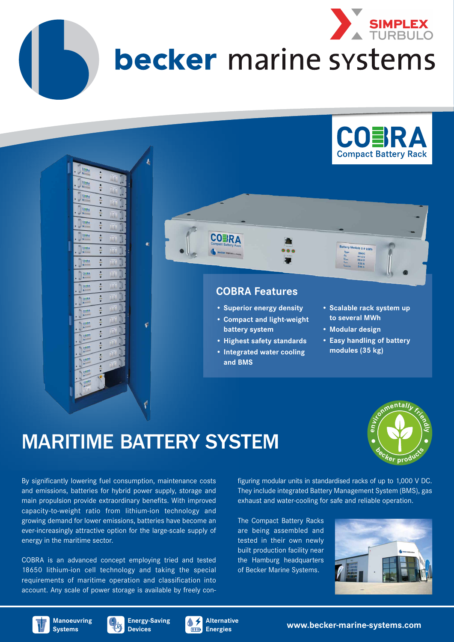

# becker marine systems





**COBRA** 

- **• Superior energy density**
- **• Compact and light-weight battery system**
- **• Highest safety standards**
- **• Integrated water cooling and BMS**
- **• Scalable rack system up to several MWh**
- **• Modular design**
- **• Easy handling of battery modules (35 kg)**

## MARITIME BATTERY SYSTEM



By significantly lowering fuel consumption, maintenance costs and emissions, batteries for hybrid power supply, storage and main propulsion provide extraordinary benefits. With improved capacity-to-weight ratio from lithium-ion technology and growing demand for lower emissions, batteries have become an ever-increasingly attractive option for the large-scale supply of energy in the maritime sector.

COBRA is an advanced concept employing tried and tested 18650 lithium-ion cell technology and taking the special requirements of maritime operation and classification into account. Any scale of power storage is available by freely configuring modular units in standardised racks of up to 1,000 V DC. They include integrated Battery Management System (BMS), gas exhaust and water-cooling for safe and reliable operation.

The Compact Battery Racks are being assembled and tested in their own newly built production facility near the Hamburg headquarters of Becker Marine Systems.